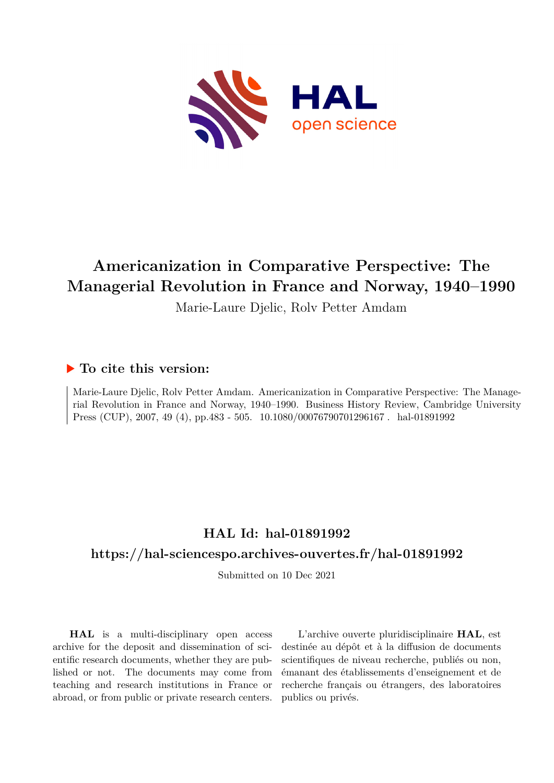

# **Americanization in Comparative Perspective: The Managerial Revolution in France and Norway, 1940–1990**

Marie-Laure Djelic, Rolv Petter Amdam

## **To cite this version:**

Marie-Laure Djelic, Rolv Petter Amdam. Americanization in Comparative Perspective: The Managerial Revolution in France and Norway, 1940–1990. Business History Review, Cambridge University Press (CUP), 2007, 49 (4), pp.483 - 505. 10.1080/00076790701296167. hal-01891992

## **HAL Id: hal-01891992**

## **<https://hal-sciencespo.archives-ouvertes.fr/hal-01891992>**

Submitted on 10 Dec 2021

**HAL** is a multi-disciplinary open access archive for the deposit and dissemination of scientific research documents, whether they are published or not. The documents may come from teaching and research institutions in France or abroad, or from public or private research centers.

L'archive ouverte pluridisciplinaire **HAL**, est destinée au dépôt et à la diffusion de documents scientifiques de niveau recherche, publiés ou non, émanant des établissements d'enseignement et de recherche français ou étrangers, des laboratoires publics ou privés.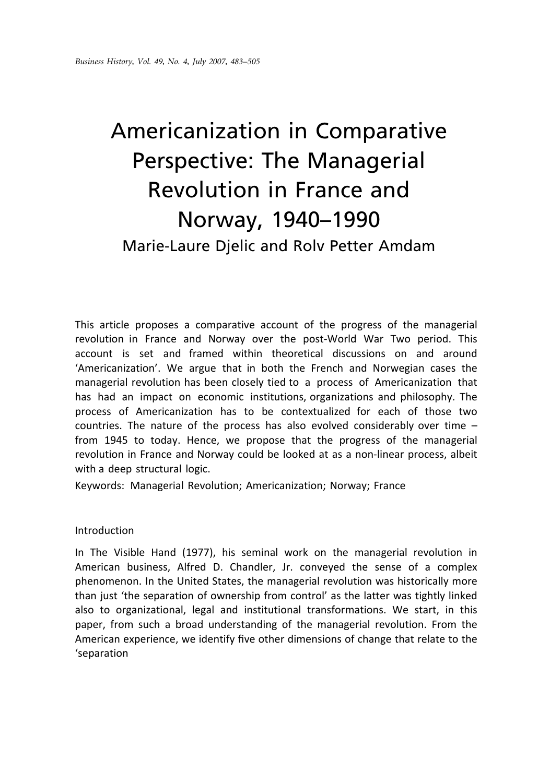# Americanization in Comparative Perspective: The Managerial Revolution in France and Norway, 1940–1990 Marie-Laure Djelic and Rolv Petter Amdam

This article proposes a comparative account of the progress of the managerial revolution in France and Norway over the post-World War Two period. This account is set and framed within theoretical discussions on and around 'Americanization'. We argue that in both the French and Norwegian cases the managerial revolution has been closely tied to a process of Americanization that has had an impact on economic institutions, organizations and philosophy. The process of Americanization has to be contextualized for each of those two countries. The nature of the process has also evolved considerably over time – from 1945 to today. Hence, we propose that the progress of the managerial revolution in France and Norway could be looked at as a non-linear process, albeit with a deep structural logic.

Keywords: Managerial Revolution; Americanization; Norway; France

#### Introduction

In The Visible Hand (1977), his seminal work on the managerial revolution in American business, Alfred D. Chandler, Jr. conveyed the sense of a complex phenomenon. In the United States, the managerial revolution was historically more than just 'the separation of ownership from control' as the latter was tightly linked also to organizational, legal and institutional transformations. We start, in this paper, from such a broad understanding of the managerial revolution. From the American experience, we identify five other dimensions of change that relate to the 'separation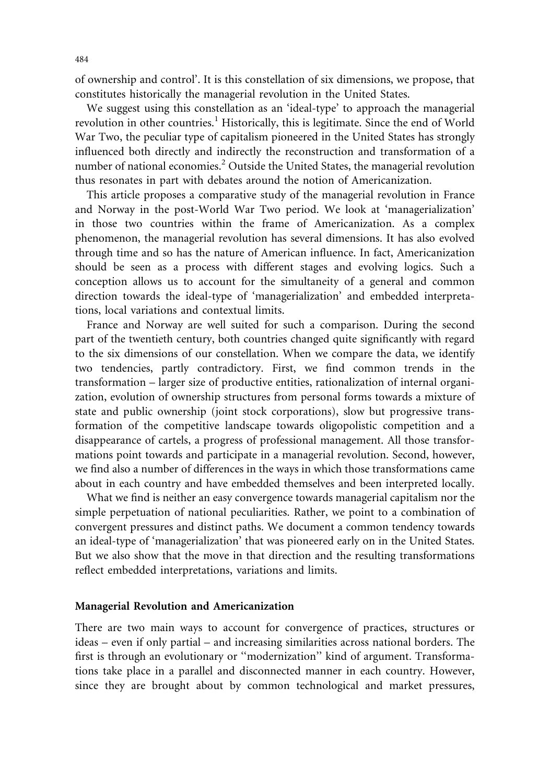of ownership and control'. It is this constellation of six dimensions, we propose, that constitutes historically the managerial revolution in the United States.

We suggest using this constellation as an 'ideal-type' to approach the managerial revolution in other countries.<sup>1</sup> Historically, this is legitimate. Since the end of World War Two, the peculiar type of capitalism pioneered in the United States has strongly influenced both directly and indirectly the reconstruction and transformation of a number of national economies.<sup>2</sup> Outside the United States, the managerial revolution thus resonates in part with debates around the notion of Americanization.

This article proposes a comparative study of the managerial revolution in France and Norway in the post-World War Two period. We look at 'managerialization' in those two countries within the frame of Americanization. As a complex phenomenon, the managerial revolution has several dimensions. It has also evolved through time and so has the nature of American influence. In fact, Americanization should be seen as a process with different stages and evolving logics. Such a conception allows us to account for the simultaneity of a general and common direction towards the ideal-type of 'managerialization' and embedded interpretations, local variations and contextual limits.

France and Norway are well suited for such a comparison. During the second part of the twentieth century, both countries changed quite significantly with regard to the six dimensions of our constellation. When we compare the data, we identify two tendencies, partly contradictory. First, we find common trends in the transformation – larger size of productive entities, rationalization of internal organization, evolution of ownership structures from personal forms towards a mixture of state and public ownership (joint stock corporations), slow but progressive transformation of the competitive landscape towards oligopolistic competition and a disappearance of cartels, a progress of professional management. All those transformations point towards and participate in a managerial revolution. Second, however, we find also a number of differences in the ways in which those transformations came about in each country and have embedded themselves and been interpreted locally.

What we find is neither an easy convergence towards managerial capitalism nor the simple perpetuation of national peculiarities. Rather, we point to a combination of convergent pressures and distinct paths. We document a common tendency towards an ideal-type of 'managerialization' that was pioneered early on in the United States. But we also show that the move in that direction and the resulting transformations reflect embedded interpretations, variations and limits.

#### Managerial Revolution and Americanization

There are two main ways to account for convergence of practices, structures or ideas – even if only partial – and increasing similarities across national borders. The first is through an evolutionary or ''modernization'' kind of argument. Transformations take place in a parallel and disconnected manner in each country. However, since they are brought about by common technological and market pressures,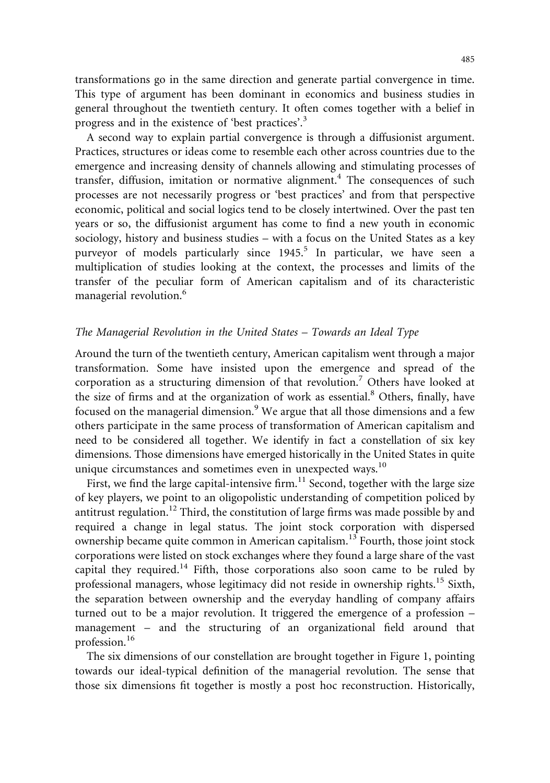transformations go in the same direction and generate partial convergence in time. This type of argument has been dominant in economics and business studies in general throughout the twentieth century. It often comes together with a belief in progress and in the existence of 'best practices'.<sup>3</sup>

A second way to explain partial convergence is through a diffusionist argument. Practices, structures or ideas come to resemble each other across countries due to the emergence and increasing density of channels allowing and stimulating processes of transfer, diffusion, imitation or normative alignment.<sup>4</sup> The consequences of such processes are not necessarily progress or 'best practices' and from that perspective economic, political and social logics tend to be closely intertwined. Over the past ten years or so, the diffusionist argument has come to find a new youth in economic sociology, history and business studies – with a focus on the United States as a key purveyor of models particularly since  $1945$ <sup>5</sup> In particular, we have seen a multiplication of studies looking at the context, the processes and limits of the transfer of the peculiar form of American capitalism and of its characteristic managerial revolution.<sup>6</sup>

#### The Managerial Revolution in the United States – Towards an Ideal Type

Around the turn of the twentieth century, American capitalism went through a major transformation. Some have insisted upon the emergence and spread of the corporation as a structuring dimension of that revolution.7 Others have looked at the size of firms and at the organization of work as essential.<sup>8</sup> Others, finally, have focused on the managerial dimension.<sup>9</sup> We argue that all those dimensions and a few others participate in the same process of transformation of American capitalism and need to be considered all together. We identify in fact a constellation of six key dimensions. Those dimensions have emerged historically in the United States in quite unique circumstances and sometimes even in unexpected ways.<sup>10</sup>

First, we find the large capital-intensive firm.<sup>11</sup> Second, together with the large size of key players, we point to an oligopolistic understanding of competition policed by antitrust regulation.<sup>12</sup> Third, the constitution of large firms was made possible by and required a change in legal status. The joint stock corporation with dispersed ownership became quite common in American capitalism.<sup>13</sup> Fourth, those joint stock corporations were listed on stock exchanges where they found a large share of the vast capital they required.<sup>14</sup> Fifth, those corporations also soon came to be ruled by professional managers, whose legitimacy did not reside in ownership rights.<sup>15</sup> Sixth, the separation between ownership and the everyday handling of company affairs turned out to be a major revolution. It triggered the emergence of a profession – management – and the structuring of an organizational field around that profession.<sup>16</sup>

The six dimensions of our constellation are brought together in Figure 1, pointing towards our ideal-typical definition of the managerial revolution. The sense that those six dimensions fit together is mostly a post hoc reconstruction. Historically,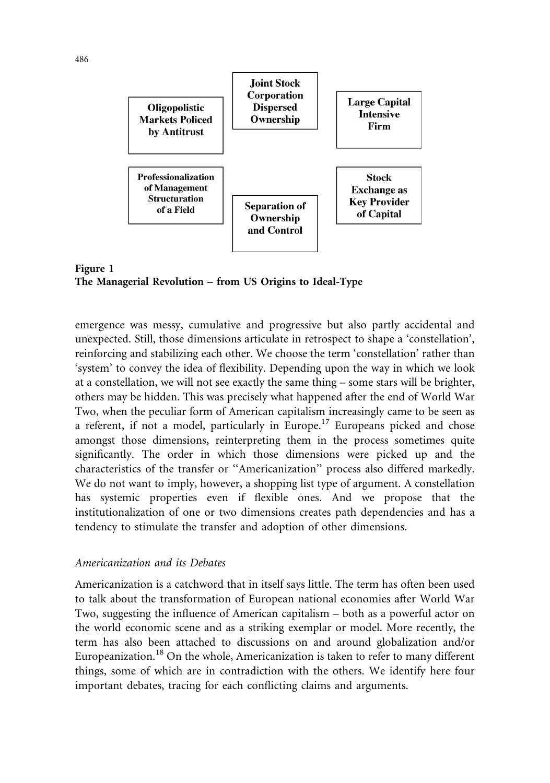



emergence was messy, cumulative and progressive but also partly accidental and unexpected. Still, those dimensions articulate in retrospect to shape a 'constellation', reinforcing and stabilizing each other. We choose the term 'constellation' rather than 'system' to convey the idea of flexibility. Depending upon the way in which we look at a constellation, we will not see exactly the same thing – some stars will be brighter, others may be hidden. This was precisely what happened after the end of World War Two, when the peculiar form of American capitalism increasingly came to be seen as a referent, if not a model, particularly in Europe.17 Europeans picked and chose amongst those dimensions, reinterpreting them in the process sometimes quite significantly. The order in which those dimensions were picked up and the characteristics of the transfer or ''Americanization'' process also differed markedly. We do not want to imply, however, a shopping list type of argument. A constellation has systemic properties even if flexible ones. And we propose that the institutionalization of one or two dimensions creates path dependencies and has a tendency to stimulate the transfer and adoption of other dimensions.

#### Americanization and its Debates

Americanization is a catchword that in itself says little. The term has often been used to talk about the transformation of European national economies after World War Two, suggesting the influence of American capitalism – both as a powerful actor on the world economic scene and as a striking exemplar or model. More recently, the term has also been attached to discussions on and around globalization and/or Europeanization.<sup>18</sup> On the whole, Americanization is taken to refer to many different things, some of which are in contradiction with the others. We identify here four important debates, tracing for each conflicting claims and arguments.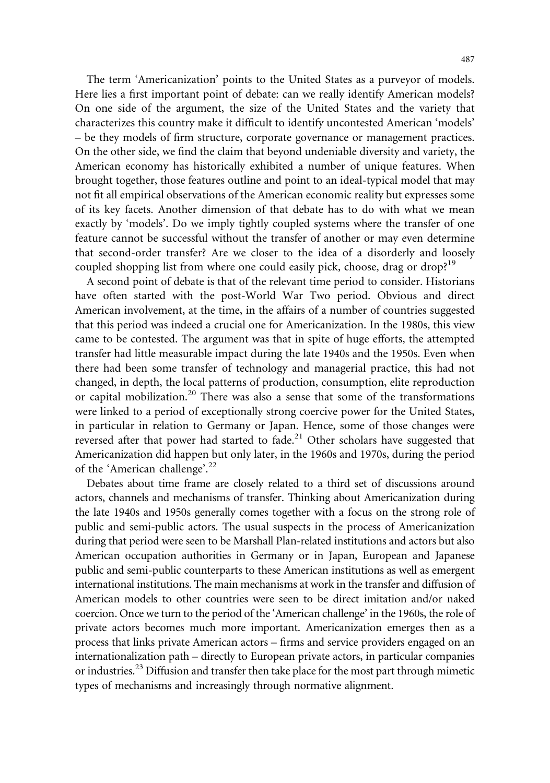The term 'Americanization' points to the United States as a purveyor of models. Here lies a first important point of debate: can we really identify American models? On one side of the argument, the size of the United States and the variety that characterizes this country make it difficult to identify uncontested American 'models' – be they models of firm structure, corporate governance or management practices. On the other side, we find the claim that beyond undeniable diversity and variety, the American economy has historically exhibited a number of unique features. When brought together, those features outline and point to an ideal-typical model that may not fit all empirical observations of the American economic reality but expresses some of its key facets. Another dimension of that debate has to do with what we mean exactly by 'models'. Do we imply tightly coupled systems where the transfer of one feature cannot be successful without the transfer of another or may even determine that second-order transfer? Are we closer to the idea of a disorderly and loosely coupled shopping list from where one could easily pick, choose, drag or drop?<sup>19</sup>

A second point of debate is that of the relevant time period to consider. Historians have often started with the post-World War Two period. Obvious and direct American involvement, at the time, in the affairs of a number of countries suggested that this period was indeed a crucial one for Americanization. In the 1980s, this view came to be contested. The argument was that in spite of huge efforts, the attempted transfer had little measurable impact during the late 1940s and the 1950s. Even when there had been some transfer of technology and managerial practice, this had not changed, in depth, the local patterns of production, consumption, elite reproduction or capital mobilization.<sup>20</sup> There was also a sense that some of the transformations were linked to a period of exceptionally strong coercive power for the United States, in particular in relation to Germany or Japan. Hence, some of those changes were reversed after that power had started to fade.<sup>21</sup> Other scholars have suggested that Americanization did happen but only later, in the 1960s and 1970s, during the period of the 'American challenge'.<sup>22</sup>

Debates about time frame are closely related to a third set of discussions around actors, channels and mechanisms of transfer. Thinking about Americanization during the late 1940s and 1950s generally comes together with a focus on the strong role of public and semi-public actors. The usual suspects in the process of Americanization during that period were seen to be Marshall Plan-related institutions and actors but also American occupation authorities in Germany or in Japan, European and Japanese public and semi-public counterparts to these American institutions as well as emergent international institutions. The main mechanisms at work in the transfer and diffusion of American models to other countries were seen to be direct imitation and/or naked coercion. Once we turn to the period of the 'American challenge' in the 1960s, the role of private actors becomes much more important. Americanization emerges then as a process that links private American actors – firms and service providers engaged on an internationalization path – directly to European private actors, in particular companies or industries.23 Diffusion and transfer then take place for the most part through mimetic types of mechanisms and increasingly through normative alignment.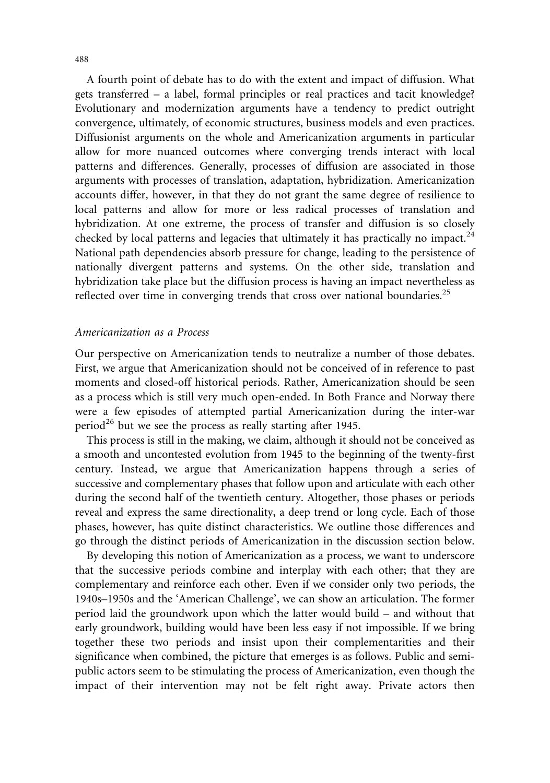A fourth point of debate has to do with the extent and impact of diffusion. What gets transferred – a label, formal principles or real practices and tacit knowledge? Evolutionary and modernization arguments have a tendency to predict outright convergence, ultimately, of economic structures, business models and even practices. Diffusionist arguments on the whole and Americanization arguments in particular allow for more nuanced outcomes where converging trends interact with local patterns and differences. Generally, processes of diffusion are associated in those arguments with processes of translation, adaptation, hybridization. Americanization accounts differ, however, in that they do not grant the same degree of resilience to local patterns and allow for more or less radical processes of translation and hybridization. At one extreme, the process of transfer and diffusion is so closely checked by local patterns and legacies that ultimately it has practically no impact. $^{24}$ National path dependencies absorb pressure for change, leading to the persistence of nationally divergent patterns and systems. On the other side, translation and hybridization take place but the diffusion process is having an impact nevertheless as reflected over time in converging trends that cross over national boundaries.<sup>25</sup>

#### Americanization as a Process

Our perspective on Americanization tends to neutralize a number of those debates. First, we argue that Americanization should not be conceived of in reference to past moments and closed-off historical periods. Rather, Americanization should be seen as a process which is still very much open-ended. In Both France and Norway there were a few episodes of attempted partial Americanization during the inter-war period<sup>26</sup> but we see the process as really starting after 1945.

This process is still in the making, we claim, although it should not be conceived as a smooth and uncontested evolution from 1945 to the beginning of the twenty-first century. Instead, we argue that Americanization happens through a series of successive and complementary phases that follow upon and articulate with each other during the second half of the twentieth century. Altogether, those phases or periods reveal and express the same directionality, a deep trend or long cycle. Each of those phases, however, has quite distinct characteristics. We outline those differences and go through the distinct periods of Americanization in the discussion section below.

By developing this notion of Americanization as a process, we want to underscore that the successive periods combine and interplay with each other; that they are complementary and reinforce each other. Even if we consider only two periods, the 1940s–1950s and the 'American Challenge', we can show an articulation. The former period laid the groundwork upon which the latter would build – and without that early groundwork, building would have been less easy if not impossible. If we bring together these two periods and insist upon their complementarities and their significance when combined, the picture that emerges is as follows. Public and semipublic actors seem to be stimulating the process of Americanization, even though the impact of their intervention may not be felt right away. Private actors then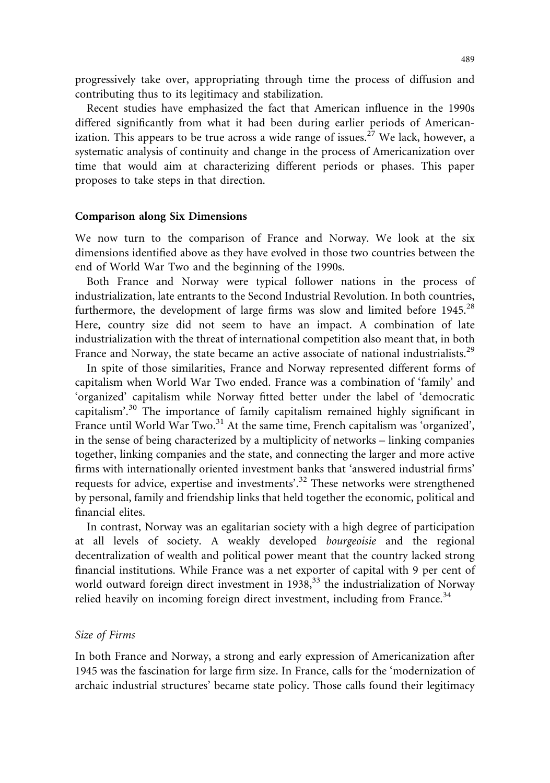progressively take over, appropriating through time the process of diffusion and contributing thus to its legitimacy and stabilization.

Recent studies have emphasized the fact that American influence in the 1990s differed significantly from what it had been during earlier periods of Americanization. This appears to be true across a wide range of issues.<sup>27</sup> We lack, however, a systematic analysis of continuity and change in the process of Americanization over time that would aim at characterizing different periods or phases. This paper proposes to take steps in that direction.

#### Comparison along Six Dimensions

We now turn to the comparison of France and Norway. We look at the six dimensions identified above as they have evolved in those two countries between the end of World War Two and the beginning of the 1990s.

Both France and Norway were typical follower nations in the process of industrialization, late entrants to the Second Industrial Revolution. In both countries, furthermore, the development of large firms was slow and limited before  $1945.^{28}$ Here, country size did not seem to have an impact. A combination of late industrialization with the threat of international competition also meant that, in both France and Norway, the state became an active associate of national industrialists.<sup>29</sup>

In spite of those similarities, France and Norway represented different forms of capitalism when World War Two ended. France was a combination of 'family' and 'organized' capitalism while Norway fitted better under the label of 'democratic capitalism'.<sup>30</sup> The importance of family capitalism remained highly significant in France until World War Two.<sup>31</sup> At the same time, French capitalism was 'organized', in the sense of being characterized by a multiplicity of networks – linking companies together, linking companies and the state, and connecting the larger and more active firms with internationally oriented investment banks that 'answered industrial firms' requests for advice, expertise and investments'.<sup>32</sup> These networks were strengthened by personal, family and friendship links that held together the economic, political and financial elites.

In contrast, Norway was an egalitarian society with a high degree of participation at all levels of society. A weakly developed bourgeoisie and the regional decentralization of wealth and political power meant that the country lacked strong financial institutions. While France was a net exporter of capital with 9 per cent of world outward foreign direct investment in  $1938,^{33}$  the industrialization of Norway relied heavily on incoming foreign direct investment, including from France.<sup>34</sup>

#### Size of Firms

In both France and Norway, a strong and early expression of Americanization after 1945 was the fascination for large firm size. In France, calls for the 'modernization of archaic industrial structures' became state policy. Those calls found their legitimacy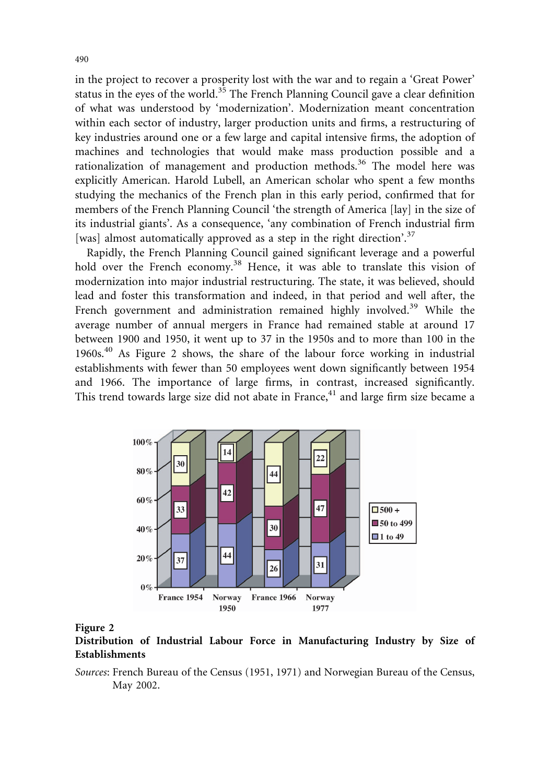in the project to recover a prosperity lost with the war and to regain a 'Great Power' status in the eyes of the world.<sup>35</sup> The French Planning Council gave a clear definition of what was understood by 'modernization'. Modernization meant concentration within each sector of industry, larger production units and firms, a restructuring of key industries around one or a few large and capital intensive firms, the adoption of machines and technologies that would make mass production possible and a rationalization of management and production methods.<sup>36</sup> The model here was explicitly American. Harold Lubell, an American scholar who spent a few months studying the mechanics of the French plan in this early period, confirmed that for members of the French Planning Council 'the strength of America [lay] in the size of its industrial giants'. As a consequence, 'any combination of French industrial firm [was] almost automatically approved as a step in the right direction'.<sup>37</sup>

Rapidly, the French Planning Council gained significant leverage and a powerful hold over the French economy.<sup>38</sup> Hence, it was able to translate this vision of modernization into major industrial restructuring. The state, it was believed, should lead and foster this transformation and indeed, in that period and well after, the French government and administration remained highly involved.<sup>39</sup> While the average number of annual mergers in France had remained stable at around 17 between 1900 and 1950, it went up to 37 in the 1950s and to more than 100 in the  $1960s<sup>40</sup>$  As Figure 2 shows, the share of the labour force working in industrial establishments with fewer than 50 employees went down significantly between 1954 and 1966. The importance of large firms, in contrast, increased significantly. This trend towards large size did not abate in France, $41$  and large firm size became a



#### Figure 2

Distribution of Industrial Labour Force in Manufacturing Industry by Size of Establishments

Sources: French Bureau of the Census (1951, 1971) and Norwegian Bureau of the Census, May 2002.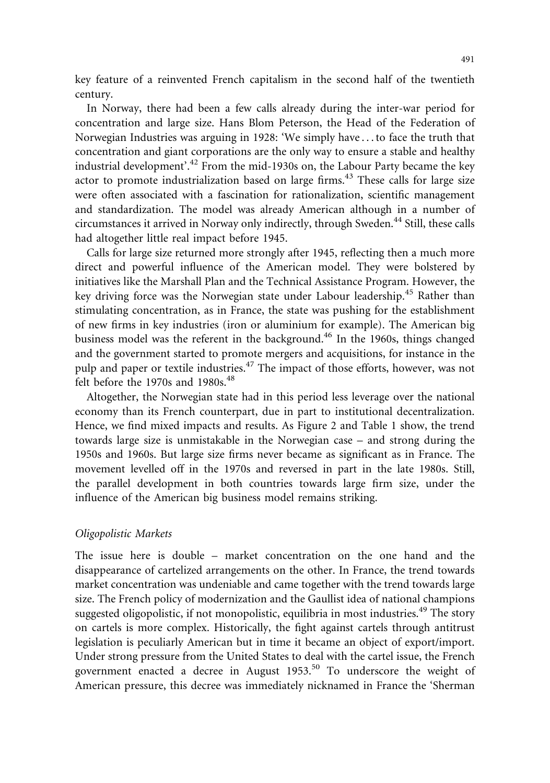key feature of a reinvented French capitalism in the second half of the twentieth century.

In Norway, there had been a few calls already during the inter-war period for concentration and large size. Hans Blom Peterson, the Head of the Federation of Norwegian Industries was arguing in 1928: 'We simply have . . . to face the truth that concentration and giant corporations are the only way to ensure a stable and healthy industrial development'.<sup>42</sup> From the mid-1930s on, the Labour Party became the key actor to promote industrialization based on large firms.<sup>43</sup> These calls for large size were often associated with a fascination for rationalization, scientific management and standardization. The model was already American although in a number of circumstances it arrived in Norway only indirectly, through Sweden.<sup>44</sup> Still, these calls had altogether little real impact before 1945.

Calls for large size returned more strongly after 1945, reflecting then a much more direct and powerful influence of the American model. They were bolstered by initiatives like the Marshall Plan and the Technical Assistance Program. However, the key driving force was the Norwegian state under Labour leadership.<sup>45</sup> Rather than stimulating concentration, as in France, the state was pushing for the establishment of new firms in key industries (iron or aluminium for example). The American big business model was the referent in the background.<sup>46</sup> In the 1960s, things changed and the government started to promote mergers and acquisitions, for instance in the pulp and paper or textile industries.<sup>47</sup> The impact of those efforts, however, was not felt before the 1970s and 1980s. $48$ 

Altogether, the Norwegian state had in this period less leverage over the national economy than its French counterpart, due in part to institutional decentralization. Hence, we find mixed impacts and results. As Figure 2 and Table 1 show, the trend towards large size is unmistakable in the Norwegian case – and strong during the 1950s and 1960s. But large size firms never became as significant as in France. The movement levelled off in the 1970s and reversed in part in the late 1980s. Still, the parallel development in both countries towards large firm size, under the influence of the American big business model remains striking.

#### Oligopolistic Markets

The issue here is double – market concentration on the one hand and the disappearance of cartelized arrangements on the other. In France, the trend towards market concentration was undeniable and came together with the trend towards large size. The French policy of modernization and the Gaullist idea of national champions suggested oligopolistic, if not monopolistic, equilibria in most industries.<sup>49</sup> The story on cartels is more complex. Historically, the fight against cartels through antitrust legislation is peculiarly American but in time it became an object of export/import. Under strong pressure from the United States to deal with the cartel issue, the French government enacted a decree in August 1953.<sup>50</sup> To underscore the weight of American pressure, this decree was immediately nicknamed in France the 'Sherman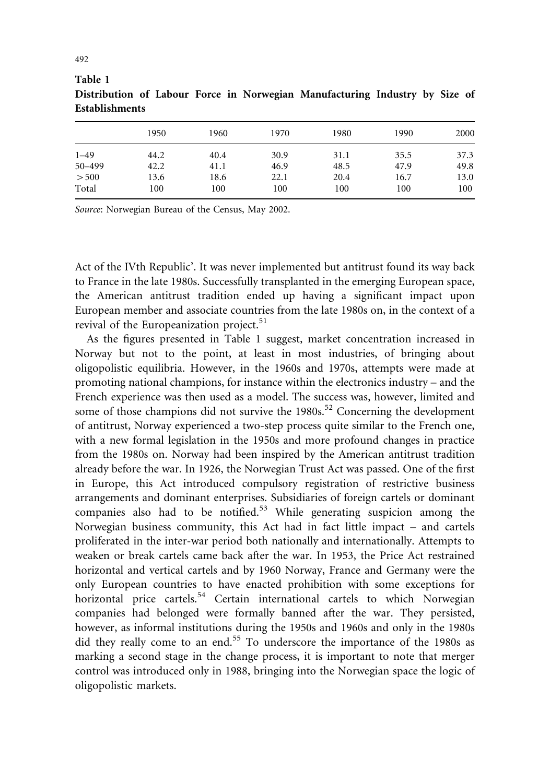|          | 1950 | 1960 | 1970 | 1980 | 1990 | 2000 |
|----------|------|------|------|------|------|------|
| $1 - 49$ | 44.2 | 40.4 | 30.9 | 31.1 | 35.5 | 37.3 |
| 50-499   | 42.2 | 41.1 | 46.9 | 48.5 | 47.9 | 49.8 |
| > 500    | 13.6 | 18.6 | 22.1 | 20.4 | 16.7 | 13.0 |
| Total    | 100  | 100  | 100  | 100  | 100  | 100  |

Table 1 Distribution of Labour Force in Norwegian Manufacturing Industry by Size of **Establishments** 

Source: Norwegian Bureau of the Census, May 2002.

Act of the IVth Republic'. It was never implemented but antitrust found its way back to France in the late 1980s. Successfully transplanted in the emerging European space, the American antitrust tradition ended up having a significant impact upon European member and associate countries from the late 1980s on, in the context of a revival of the Europeanization project.<sup>51</sup>

As the figures presented in Table 1 suggest, market concentration increased in Norway but not to the point, at least in most industries, of bringing about oligopolistic equilibria. However, in the 1960s and 1970s, attempts were made at promoting national champions, for instance within the electronics industry – and the French experience was then used as a model. The success was, however, limited and some of those champions did not survive the 1980s.<sup>52</sup> Concerning the development of antitrust, Norway experienced a two-step process quite similar to the French one, with a new formal legislation in the 1950s and more profound changes in practice from the 1980s on. Norway had been inspired by the American antitrust tradition already before the war. In 1926, the Norwegian Trust Act was passed. One of the first in Europe, this Act introduced compulsory registration of restrictive business arrangements and dominant enterprises. Subsidiaries of foreign cartels or dominant companies also had to be notified.<sup>53</sup> While generating suspicion among the Norwegian business community, this Act had in fact little impact – and cartels proliferated in the inter-war period both nationally and internationally. Attempts to weaken or break cartels came back after the war. In 1953, the Price Act restrained horizontal and vertical cartels and by 1960 Norway, France and Germany were the only European countries to have enacted prohibition with some exceptions for horizontal price cartels.<sup>54</sup> Certain international cartels to which Norwegian companies had belonged were formally banned after the war. They persisted, however, as informal institutions during the 1950s and 1960s and only in the 1980s did they really come to an end.<sup>55</sup> To underscore the importance of the 1980s as marking a second stage in the change process, it is important to note that merger control was introduced only in 1988, bringing into the Norwegian space the logic of oligopolistic markets.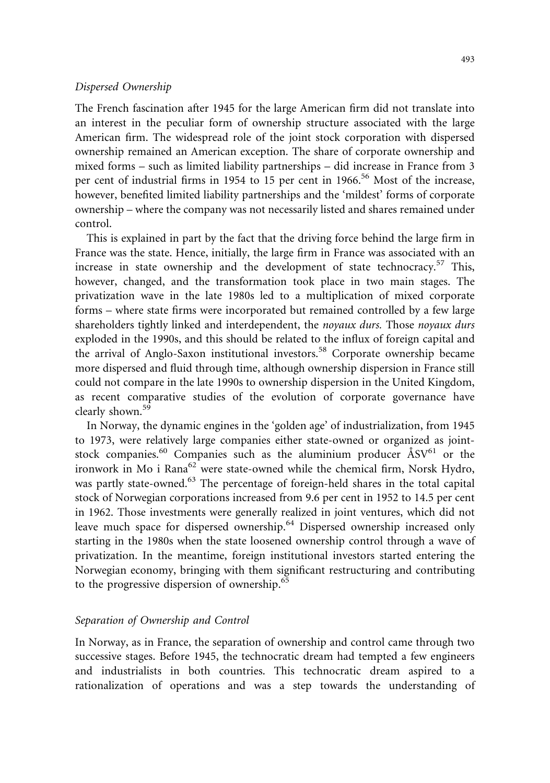#### Dispersed Ownership

The French fascination after 1945 for the large American firm did not translate into an interest in the peculiar form of ownership structure associated with the large American firm. The widespread role of the joint stock corporation with dispersed ownership remained an American exception. The share of corporate ownership and mixed forms – such as limited liability partnerships – did increase in France from 3 per cent of industrial firms in 1954 to 15 per cent in 1966.<sup>56</sup> Most of the increase, however, benefited limited liability partnerships and the 'mildest' forms of corporate ownership – where the company was not necessarily listed and shares remained under control.

This is explained in part by the fact that the driving force behind the large firm in France was the state. Hence, initially, the large firm in France was associated with an increase in state ownership and the development of state technocracy.<sup>57</sup> This, however, changed, and the transformation took place in two main stages. The privatization wave in the late 1980s led to a multiplication of mixed corporate forms – where state firms were incorporated but remained controlled by a few large shareholders tightly linked and interdependent, the *noyaux durs*. Those *noyaux durs* exploded in the 1990s, and this should be related to the influx of foreign capital and the arrival of Anglo-Saxon institutional investors.<sup>58</sup> Corporate ownership became more dispersed and fluid through time, although ownership dispersion in France still could not compare in the late 1990s to ownership dispersion in the United Kingdom, as recent comparative studies of the evolution of corporate governance have clearly shown.<sup>59</sup>

In Norway, the dynamic engines in the 'golden age' of industrialization, from 1945 to 1973, were relatively large companies either state-owned or organized as jointstock companies.<sup>60</sup> Companies such as the aluminium producer  $\rm{ÅSV}^{61}$  or the ironwork in Mo i Rana $62$  were state-owned while the chemical firm, Norsk Hydro, was partly state-owned.<sup>63</sup> The percentage of foreign-held shares in the total capital stock of Norwegian corporations increased from 9.6 per cent in 1952 to 14.5 per cent in 1962. Those investments were generally realized in joint ventures, which did not leave much space for dispersed ownership.<sup>64</sup> Dispersed ownership increased only starting in the 1980s when the state loosened ownership control through a wave of privatization. In the meantime, foreign institutional investors started entering the Norwegian economy, bringing with them significant restructuring and contributing to the progressive dispersion of ownership.<sup>65</sup>

#### Separation of Ownership and Control

In Norway, as in France, the separation of ownership and control came through two successive stages. Before 1945, the technocratic dream had tempted a few engineers and industrialists in both countries. This technocratic dream aspired to a rationalization of operations and was a step towards the understanding of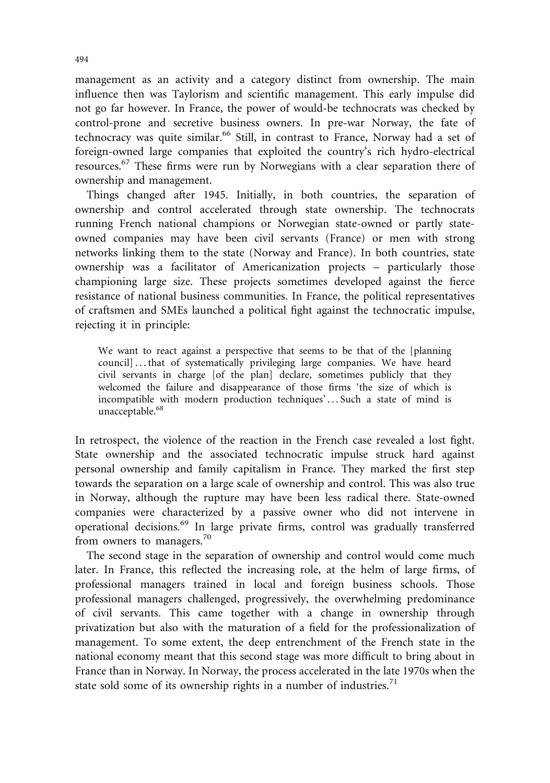management as an activity and a category distinct from ownership. The main influence then was Taylorism and scientific management. This early impulse did not go far however. In France, the power of would-be technocrats was checked by control-prone and secretive business owners. In pre-war Norway, the fate of technocracy was quite similar.<sup>66</sup> Still, in contrast to France, Norway had a set of foreign-owned large companies that exploited the country's rich hydro-electrical resources.<sup>67</sup> These firms were run by Norwegians with a clear separation there of ownership and management.

Things changed after 1945. Initially, in both countries, the separation of ownership and control accelerated through state ownership. The technocrats running French national champions or Norwegian state-owned or partly stateowned companies may have been civil servants (France) or men with strong networks linking them to the state (Norway and France). In both countries, state ownership was a facilitator of Americanization projects – particularly those championing large size. These projects sometimes developed against the fierce resistance of national business communities. In France, the political representatives of craftsmen and SMEs launched a political fight against the technocratic impulse, rejecting it in principle:

We want to react against a perspective that seems to be that of the [planning council] . . . that of systematically privileging large companies. We have heard civil servants in charge [of the plan] declare, sometimes publicly that they welcomed the failure and disappearance of those firms 'the size of which is incompatible with modern production techniques'...Such a state of mind is unacceptable.<sup>68</sup>

In retrospect, the violence of the reaction in the French case revealed a lost fight. State ownership and the associated technocratic impulse struck hard against personal ownership and family capitalism in France. They marked the first step towards the separation on a large scale of ownership and control. This was also true in Norway, although the rupture may have been less radical there. State-owned companies were characterized by a passive owner who did not intervene in operational decisions.<sup>69</sup> In large private firms, control was gradually transferred from owners to managers.<sup>70</sup>

The second stage in the separation of ownership and control would come much later. In France, this reflected the increasing role, at the helm of large firms, of professional managers trained in local and foreign business schools. Those professional managers challenged, progressively, the overwhelming predominance of civil servants. This came together with a change in ownership through privatization but also with the maturation of a field for the professionalization of management. To some extent, the deep entrenchment of the French state in the national economy meant that this second stage was more difficult to bring about in France than in Norway. In Norway, the process accelerated in the late 1970s when the state sold some of its ownership rights in a number of industries.<sup>71</sup>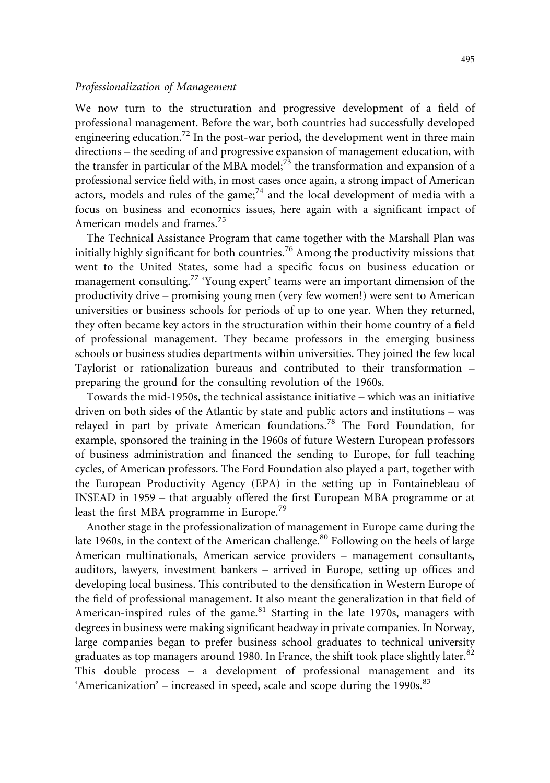#### Professionalization of Management

We now turn to the structuration and progressive development of a field of professional management. Before the war, both countries had successfully developed engineering education.<sup>72</sup> In the post-war period, the development went in three main directions – the seeding of and progressive expansion of management education, with the transfer in particular of the MBA model;<sup>73</sup> the transformation and expansion of a professional service field with, in most cases once again, a strong impact of American actors, models and rules of the game;<sup>74</sup> and the local development of media with a focus on business and economics issues, here again with a significant impact of American models and frames.<sup>75</sup>

The Technical Assistance Program that came together with the Marshall Plan was initially highly significant for both countries.<sup>76</sup> Among the productivity missions that went to the United States, some had a specific focus on business education or management consulting.<sup>77</sup> 'Young expert' teams were an important dimension of the productivity drive – promising young men (very few women!) were sent to American universities or business schools for periods of up to one year. When they returned, they often became key actors in the structuration within their home country of a field of professional management. They became professors in the emerging business schools or business studies departments within universities. They joined the few local Taylorist or rationalization bureaus and contributed to their transformation – preparing the ground for the consulting revolution of the 1960s.

Towards the mid-1950s, the technical assistance initiative – which was an initiative driven on both sides of the Atlantic by state and public actors and institutions – was relayed in part by private American foundations.<sup>78</sup> The Ford Foundation, for example, sponsored the training in the 1960s of future Western European professors of business administration and financed the sending to Europe, for full teaching cycles, of American professors. The Ford Foundation also played a part, together with the European Productivity Agency (EPA) in the setting up in Fontainebleau of INSEAD in 1959 – that arguably offered the first European MBA programme or at least the first MBA programme in Europe.<sup>79</sup>

Another stage in the professionalization of management in Europe came during the late 1960s, in the context of the American challenge.<sup>80</sup> Following on the heels of large American multinationals, American service providers – management consultants, auditors, lawyers, investment bankers – arrived in Europe, setting up offices and developing local business. This contributed to the densification in Western Europe of the field of professional management. It also meant the generalization in that field of American-inspired rules of the game. $81$  Starting in the late 1970s, managers with degrees in business were making significant headway in private companies. In Norway, large companies began to prefer business school graduates to technical university graduates as top managers around 1980. In France, the shift took place slightly later.<sup>82</sup> This double process – a development of professional management and its 'Americanization' – increased in speed, scale and scope during the 1990s. $^{83}$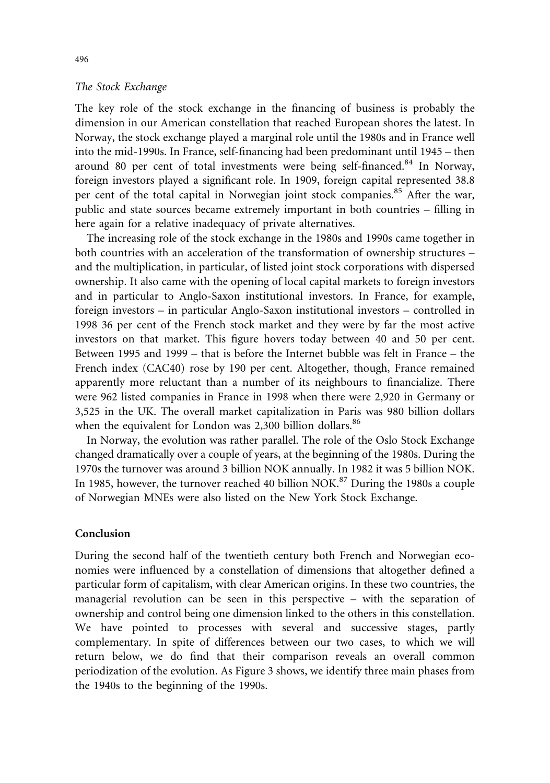#### The Stock Exchange

The key role of the stock exchange in the financing of business is probably the dimension in our American constellation that reached European shores the latest. In Norway, the stock exchange played a marginal role until the 1980s and in France well into the mid-1990s. In France, self-financing had been predominant until 1945 – then around 80 per cent of total investments were being self-financed.<sup>84</sup> In Norway, foreign investors played a significant role. In 1909, foreign capital represented 38.8 per cent of the total capital in Norwegian joint stock companies.<sup>85</sup> After the war, public and state sources became extremely important in both countries – filling in here again for a relative inadequacy of private alternatives.

The increasing role of the stock exchange in the 1980s and 1990s came together in both countries with an acceleration of the transformation of ownership structures – and the multiplication, in particular, of listed joint stock corporations with dispersed ownership. It also came with the opening of local capital markets to foreign investors and in particular to Anglo-Saxon institutional investors. In France, for example, foreign investors – in particular Anglo-Saxon institutional investors – controlled in 1998 36 per cent of the French stock market and they were by far the most active investors on that market. This figure hovers today between 40 and 50 per cent. Between 1995 and 1999 – that is before the Internet bubble was felt in France – the French index (CAC40) rose by 190 per cent. Altogether, though, France remained apparently more reluctant than a number of its neighbours to financialize. There were 962 listed companies in France in 1998 when there were 2,920 in Germany or 3,525 in the UK. The overall market capitalization in Paris was 980 billion dollars when the equivalent for London was 2,300 billion dollars.<sup>86</sup>

In Norway, the evolution was rather parallel. The role of the Oslo Stock Exchange changed dramatically over a couple of years, at the beginning of the 1980s. During the 1970s the turnover was around 3 billion NOK annually. In 1982 it was 5 billion NOK. In 1985, however, the turnover reached 40 billion NOK.<sup>87</sup> During the 1980s a couple of Norwegian MNEs were also listed on the New York Stock Exchange.

#### Conclusion

During the second half of the twentieth century both French and Norwegian economies were influenced by a constellation of dimensions that altogether defined a particular form of capitalism, with clear American origins. In these two countries, the managerial revolution can be seen in this perspective – with the separation of ownership and control being one dimension linked to the others in this constellation. We have pointed to processes with several and successive stages, partly complementary. In spite of differences between our two cases, to which we will return below, we do find that their comparison reveals an overall common periodization of the evolution. As Figure 3 shows, we identify three main phases from the 1940s to the beginning of the 1990s.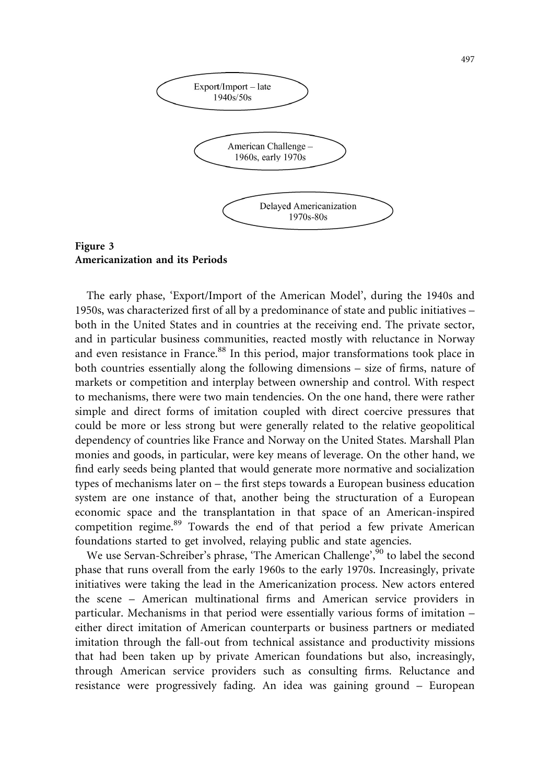

Figure 3 Americanization and its Periods

The early phase, 'Export/Import of the American Model', during the 1940s and 1950s, was characterized first of all by a predominance of state and public initiatives – both in the United States and in countries at the receiving end. The private sector, and in particular business communities, reacted mostly with reluctance in Norway and even resistance in France.<sup>88</sup> In this period, major transformations took place in both countries essentially along the following dimensions – size of firms, nature of markets or competition and interplay between ownership and control. With respect to mechanisms, there were two main tendencies. On the one hand, there were rather simple and direct forms of imitation coupled with direct coercive pressures that could be more or less strong but were generally related to the relative geopolitical dependency of countries like France and Norway on the United States. Marshall Plan monies and goods, in particular, were key means of leverage. On the other hand, we find early seeds being planted that would generate more normative and socialization types of mechanisms later on – the first steps towards a European business education system are one instance of that, another being the structuration of a European economic space and the transplantation in that space of an American-inspired competition regime.<sup>89</sup> Towards the end of that period a few private American foundations started to get involved, relaying public and state agencies.

We use Servan-Schreiber's phrase, 'The American Challenge', <sup>90</sup> to label the second phase that runs overall from the early 1960s to the early 1970s. Increasingly, private initiatives were taking the lead in the Americanization process. New actors entered the scene – American multinational firms and American service providers in particular. Mechanisms in that period were essentially various forms of imitation – either direct imitation of American counterparts or business partners or mediated imitation through the fall-out from technical assistance and productivity missions that had been taken up by private American foundations but also, increasingly, through American service providers such as consulting firms. Reluctance and resistance were progressively fading. An idea was gaining ground – European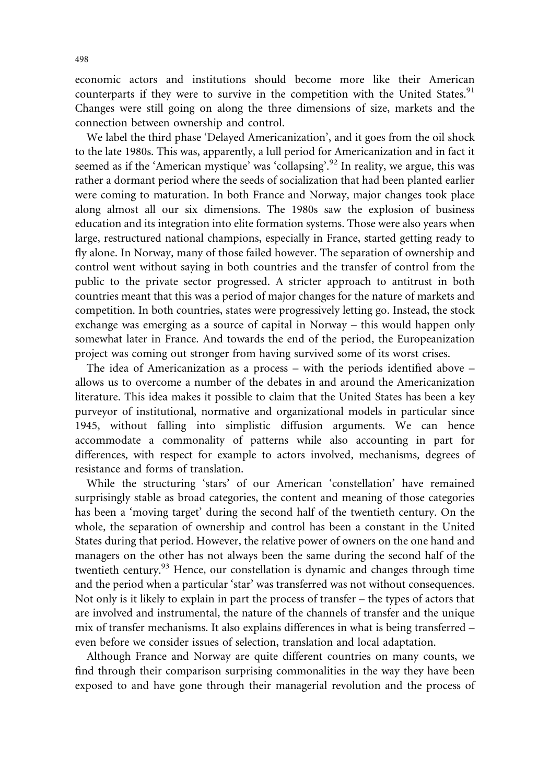economic actors and institutions should become more like their American counterparts if they were to survive in the competition with the United States.<sup>91</sup> Changes were still going on along the three dimensions of size, markets and the connection between ownership and control.

We label the third phase 'Delayed Americanization', and it goes from the oil shock to the late 1980s. This was, apparently, a lull period for Americanization and in fact it seemed as if the 'American mystique' was 'collapsing'.<sup>92</sup> In reality, we argue, this was rather a dormant period where the seeds of socialization that had been planted earlier were coming to maturation. In both France and Norway, major changes took place along almost all our six dimensions. The 1980s saw the explosion of business education and its integration into elite formation systems. Those were also years when large, restructured national champions, especially in France, started getting ready to fly alone. In Norway, many of those failed however. The separation of ownership and control went without saying in both countries and the transfer of control from the public to the private sector progressed. A stricter approach to antitrust in both countries meant that this was a period of major changes for the nature of markets and competition. In both countries, states were progressively letting go. Instead, the stock exchange was emerging as a source of capital in Norway – this would happen only somewhat later in France. And towards the end of the period, the Europeanization project was coming out stronger from having survived some of its worst crises.

The idea of Americanization as a process – with the periods identified above – allows us to overcome a number of the debates in and around the Americanization literature. This idea makes it possible to claim that the United States has been a key purveyor of institutional, normative and organizational models in particular since 1945, without falling into simplistic diffusion arguments. We can hence accommodate a commonality of patterns while also accounting in part for differences, with respect for example to actors involved, mechanisms, degrees of resistance and forms of translation.

While the structuring 'stars' of our American 'constellation' have remained surprisingly stable as broad categories, the content and meaning of those categories has been a 'moving target' during the second half of the twentieth century. On the whole, the separation of ownership and control has been a constant in the United States during that period. However, the relative power of owners on the one hand and managers on the other has not always been the same during the second half of the twentieth century.<sup>93</sup> Hence, our constellation is dynamic and changes through time and the period when a particular 'star' was transferred was not without consequences. Not only is it likely to explain in part the process of transfer – the types of actors that are involved and instrumental, the nature of the channels of transfer and the unique mix of transfer mechanisms. It also explains differences in what is being transferred – even before we consider issues of selection, translation and local adaptation.

Although France and Norway are quite different countries on many counts, we find through their comparison surprising commonalities in the way they have been exposed to and have gone through their managerial revolution and the process of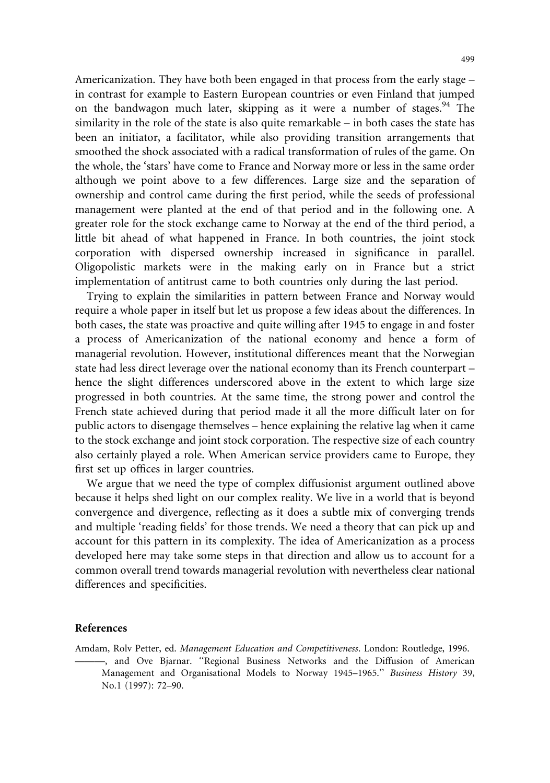Americanization. They have both been engaged in that process from the early stage – in contrast for example to Eastern European countries or even Finland that jumped on the bandwagon much later, skipping as it were a number of stages.<sup>94</sup> The similarity in the role of the state is also quite remarkable – in both cases the state has been an initiator, a facilitator, while also providing transition arrangements that smoothed the shock associated with a radical transformation of rules of the game. On the whole, the 'stars' have come to France and Norway more or less in the same order although we point above to a few differences. Large size and the separation of ownership and control came during the first period, while the seeds of professional management were planted at the end of that period and in the following one. A greater role for the stock exchange came to Norway at the end of the third period, a little bit ahead of what happened in France. In both countries, the joint stock corporation with dispersed ownership increased in significance in parallel. Oligopolistic markets were in the making early on in France but a strict implementation of antitrust came to both countries only during the last period.

Trying to explain the similarities in pattern between France and Norway would require a whole paper in itself but let us propose a few ideas about the differences. In both cases, the state was proactive and quite willing after 1945 to engage in and foster a process of Americanization of the national economy and hence a form of managerial revolution. However, institutional differences meant that the Norwegian state had less direct leverage over the national economy than its French counterpart – hence the slight differences underscored above in the extent to which large size progressed in both countries. At the same time, the strong power and control the French state achieved during that period made it all the more difficult later on for public actors to disengage themselves – hence explaining the relative lag when it came to the stock exchange and joint stock corporation. The respective size of each country also certainly played a role. When American service providers came to Europe, they first set up offices in larger countries.

We argue that we need the type of complex diffusionist argument outlined above because it helps shed light on our complex reality. We live in a world that is beyond convergence and divergence, reflecting as it does a subtle mix of converging trends and multiple 'reading fields' for those trends. We need a theory that can pick up and account for this pattern in its complexity. The idea of Americanization as a process developed here may take some steps in that direction and allow us to account for a common overall trend towards managerial revolution with nevertheless clear national differences and specificities.

#### References

Amdam, Rolv Petter, ed. Management Education and Competitiveness. London: Routledge, 1996. ———, and Ove Bjarnar. ''Regional Business Networks and the Diffusion of American Management and Organisational Models to Norway 1945–1965.'' Business History 39, No.1 (1997): 72–90.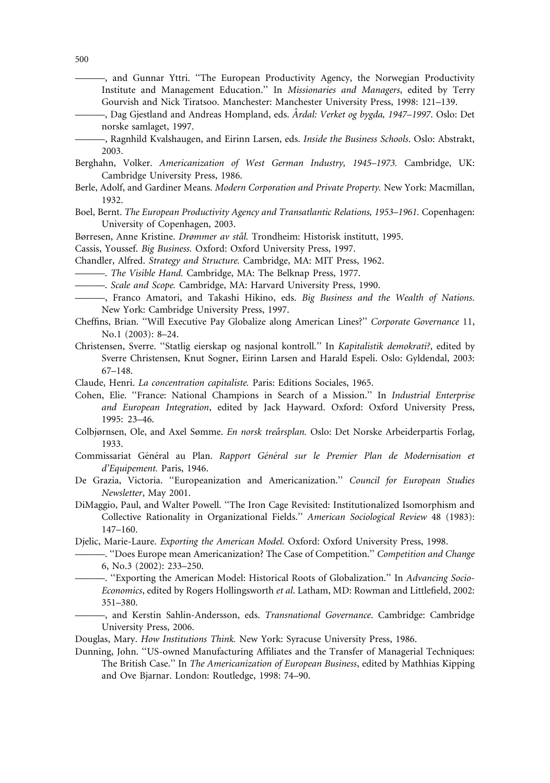- ———, and Gunnar Yttri. ''The European Productivity Agency, the Norwegian Productivity Institute and Management Education.'' In Missionaries and Managers, edited by Terry Gourvish and Nick Tiratsoo. Manchester: Manchester University Press, 1998: 121–139.
- –, Dag Gjestland and Andreas Hompland, eds. Årdal: Verket og bygda, 1947–1997. Oslo: Det norske samlaget, 1997.
- ———, Ragnhild Kvalshaugen, and Eirinn Larsen, eds. Inside the Business Schools. Oslo: Abstrakt, 2003.
- Berghahn, Volker. Americanization of West German Industry, 1945–1973. Cambridge, UK: Cambridge University Press, 1986.
- Berle, Adolf, and Gardiner Means. Modern Corporation and Private Property. New York: Macmillan, 1932.
- Boel, Bernt. The European Productivity Agency and Transatlantic Relations, 1953–1961. Copenhagen: University of Copenhagen, 2003.
- Børresen, Anne Kristine. Drømmer av stål. Trondheim: Historisk institutt, 1995.
- Cassis, Youssef. Big Business. Oxford: Oxford University Press, 1997.
- Chandler, Alfred. Strategy and Structure. Cambridge, MA: MIT Press, 1962.
- ———. The Visible Hand. Cambridge, MA: The Belknap Press, 1977.
- Scale and Scope. Cambridge, MA: Harvard University Press, 1990.
- Franco Amatori, and Takashi Hikino, eds. Big Business and the Wealth of Nations. New York: Cambridge University Press, 1997.
- Cheffins, Brian. ''Will Executive Pay Globalize along American Lines?'' Corporate Governance 11, No.1 (2003): 8–24.
- Christensen, Sverre. ''Statlig eierskap og nasjonal kontroll.'' In Kapitalistik demokrati?, edited by Sverre Christensen, Knut Sogner, Eirinn Larsen and Harald Espeli. Oslo: Gyldendal, 2003: 67–148.
- Claude, Henri. La concentration capitaliste. Paris: Editions Sociales, 1965.
- Cohen, Elie. ''France: National Champions in Search of a Mission.'' In Industrial Enterprise and European Integration, edited by Jack Hayward. Oxford: Oxford University Press, 1995: 23–46.
- Colbjørnsen, Ole, and Axel Sømme. En norsk treårsplan. Oslo: Det Norske Arbeiderpartis Forlag, 1933.
- Commissariat Général au Plan. Rapport Général sur le Premier Plan de Modernisation et d'Equipement. Paris, 1946.
- De Grazia, Victoria. ''Europeanization and Americanization.'' Council for European Studies Newsletter, May 2001.
- DiMaggio, Paul, and Walter Powell. ''The Iron Cage Revisited: Institutionalized Isomorphism and Collective Rationality in Organizational Fields.'' American Sociological Review 48 (1983): 147–160.
- Djelic, Marie-Laure. Exporting the American Model. Oxford: Oxford University Press, 1998.
	- —. "Does Europe mean Americanization? The Case of Competition." Competition and Change 6, No.3 (2002): 233–250.
	- "Exporting the American Model: Historical Roots of Globalization." In Advancing Socio-Economics, edited by Rogers Hollingsworth et al. Latham, MD: Rowman and Littlefield, 2002: 351–380.
	- -, and Kerstin Sahlin-Andersson, eds. Transnational Governance. Cambridge: Cambridge University Press, 2006.
- Douglas, Mary. How Institutions Think. New York: Syracuse University Press, 1986.
- Dunning, John. ''US-owned Manufacturing Affiliates and the Transfer of Managerial Techniques: The British Case.'' In The Americanization of European Business, edited by Mathhias Kipping and Ove Bjarnar. London: Routledge, 1998: 74–90.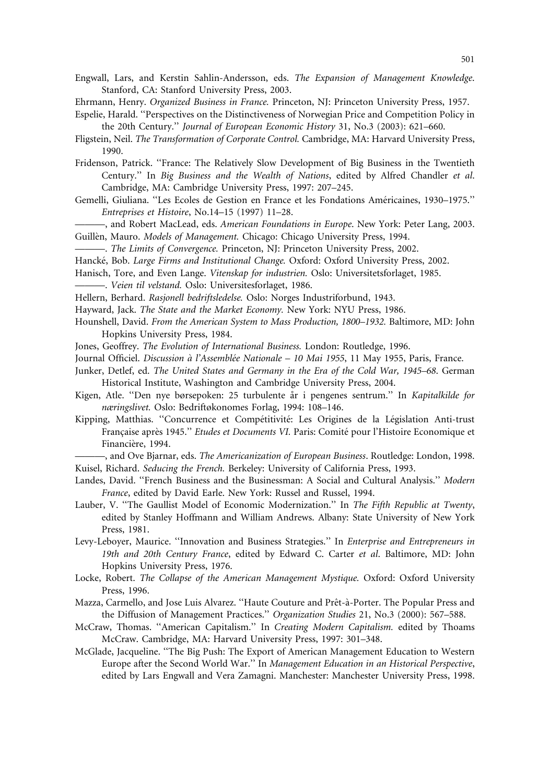Engwall, Lars, and Kerstin Sahlin-Andersson, eds. The Expansion of Management Knowledge. Stanford, CA: Stanford University Press, 2003.

- Ehrmann, Henry. Organized Business in France. Princeton, NJ: Princeton University Press, 1957.
- Espelie, Harald. ''Perspectives on the Distinctiveness of Norwegian Price and Competition Policy in the 20th Century.'' Journal of European Economic History 31, No.3 (2003): 621–660.
- Fligstein, Neil. The Transformation of Corporate Control. Cambridge, MA: Harvard University Press, 1990.
- Fridenson, Patrick. ''France: The Relatively Slow Development of Big Business in the Twentieth Century.'' In Big Business and the Wealth of Nations, edited by Alfred Chandler et al. Cambridge, MA: Cambridge University Press, 1997: 207–245.
- Gemelli, Giuliana. "Les Ecoles de Gestion en France et les Fondations Américaines, 1930–1975." Entreprises et Histoire, No.14–15 (1997) 11–28.
- ———, and Robert MacLead, eds. American Foundations in Europe. New York: Peter Lang, 2003. Guillèn, Mauro. Models of Management. Chicago: Chicago University Press, 1994.
- ———. The Limits of Convergence. Princeton, NJ: Princeton University Press, 2002.
- Hancké, Bob. Large Firms and Institutional Change. Oxford: Oxford University Press, 2002.
- Hanisch, Tore, and Even Lange. Vitenskap for industrien. Oslo: Universitetsforlaget, 1985.

———. Veien til velstand. Oslo: Universitesforlaget, 1986.

Hellern, Berhard. Rasjonell bedriftsledelse. Oslo: Norges Industriforbund, 1943.

- Hayward, Jack. The State and the Market Economy. New York: NYU Press, 1986.
- Hounshell, David. From the American System to Mass Production, 1800–1932. Baltimore, MD: John Hopkins University Press, 1984.
- Jones, Geoffrey. The Evolution of International Business. London: Routledge, 1996.
- Journal Officiel. Discussion à l'Assemblée Nationale 10 Mai 1955, 11 May 1955, Paris, France.
- Junker, Detlef, ed. The United States and Germany in the Era of the Cold War, 1945–68. German Historical Institute, Washington and Cambridge University Press, 2004.
- Kigen, Atle. "Den nye børsepoken: 25 turbulente år i pengenes sentrum." In Kapitalkilde for næringslivet. Oslo: Bedriftøkonomes Forlag, 1994: 108–146.
- Kipping, Matthias. "Concurrence et Compétitivité: Les Origines de la Législation Anti-trust Francaise après 1945." Etudes et Documents VI. Paris: Comité pour l'Histoire Economique et Financière, 1994.
- –, and Ove Biarnar, eds. The Americanization of European Business. Routledge: London, 1998. Kuisel, Richard. Seducing the French. Berkeley: University of California Press, 1993.
- Landes, David. "French Business and the Businessman: A Social and Cultural Analysis." Modern France, edited by David Earle. New York: Russel and Russel, 1994.
- Lauber, V. "The Gaullist Model of Economic Modernization." In The Fifth Republic at Twenty, edited by Stanley Hoffmann and William Andrews. Albany: State University of New York Press, 1981.
- Levy-Leboyer, Maurice. "Innovation and Business Strategies." In Enterprise and Entrepreneurs in 19th and 20th Century France, edited by Edward C. Carter et al. Baltimore, MD: John Hopkins University Press, 1976.
- Locke, Robert. The Collapse of the American Management Mystique. Oxford: Oxford University Press, 1996.
- Mazza, Carmello, and Jose Luis Alvarez. "Haute Couture and Prêt-à-Porter. The Popular Press and the Diffusion of Management Practices.'' Organization Studies 21, No.3 (2000): 567–588.
- McCraw, Thomas. "American Capitalism." In Creating Modern Capitalism. edited by Thoams McCraw. Cambridge, MA: Harvard University Press, 1997: 301–348.
- McGlade, Jacqueline. ''The Big Push: The Export of American Management Education to Western Europe after the Second World War.'' In Management Education in an Historical Perspective, edited by Lars Engwall and Vera Zamagni. Manchester: Manchester University Press, 1998.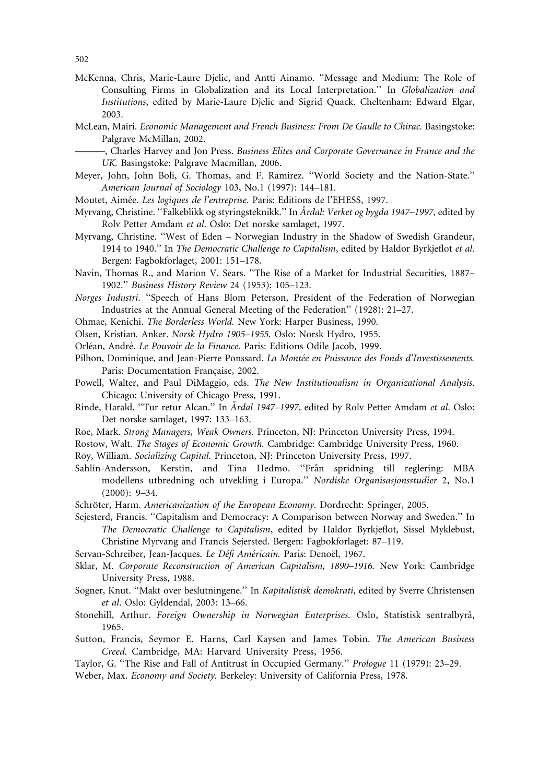- McKenna, Chris, Marie-Laure Djelic, and Antti Ainamo. ''Message and Medium: The Role of Consulting Firms in Globalization and its Local Interpretation.'' In Globalization and Institutions, edited by Marie-Laure Djelic and Sigrid Quack. Cheltenham: Edward Elgar, 2003.
- McLean, Mairi. Economic Management and French Business: From De Gaulle to Chirac. Basingstoke: Palgrave McMillan, 2002.

———, Charles Harvey and Jon Press. Business Elites and Corporate Governance in France and the UK. Basingstoke: Palgrave Macmillan, 2006.

- Meyer, John, John Boli, G. Thomas, and F. Ramirez. ''World Society and the Nation-State.'' American Journal of Sociology 103, No.1 (1997): 144–181.
- Moutet, Aimée. Les logiques de l'entreprise. Paris: Editions de l'EHESS, 1997.
- Myrvang, Christine. "Falkeblikk og styringsteknikk." In Årdal: Verket og bygda 1947–1997, edited by Rolv Petter Amdam et al. Oslo: Det norske samlaget, 1997.
- Myrvang, Christine. ''West of Eden Norwegian Industry in the Shadow of Swedish Grandeur, 1914 to 1940." In The Democratic Challenge to Capitalism, edited by Haldor Byrkjeflot et al. Bergen: Fagbokforlaget, 2001: 151–178.
- Navin, Thomas R., and Marion V. Sears. ''The Rise of a Market for Industrial Securities, 1887– 1902.'' Business History Review 24 (1953): 105–123.
- Norges Industri. ''Speech of Hans Blom Peterson, President of the Federation of Norwegian Industries at the Annual General Meeting of the Federation'' (1928): 21–27.
- Ohmae, Kenichi. The Borderless World. New York: Harper Business, 1990.
- Olsen, Kristian. Anker. Norsk Hydro 1905–1955. Oslo: Norsk Hydro, 1955.
- Orléan, André. Le Pouvoir de la Finance. Paris: Editions Odile Jacob, 1999.
- Pilhon, Dominique, and Jean-Pierre Ponssard. La Montée en Puissance des Fonds d'Investissements. Paris: Documentation Française, 2002.
- Powell, Walter, and Paul DiMaggio, eds. The New Institutionalism in Organizational Analysis. Chicago: University of Chicago Press, 1991.
- Rinde, Harald. "Tur retur Alcan." In Årdal 1947–1997, edited by Rolv Petter Amdam et al. Oslo: Det norske samlaget, 1997: 133–163.
- Roe, Mark. Strong Managers, Weak Owners. Princeton, NJ: Princeton University Press, 1994.
- Rostow, Walt. The Stages of Economic Growth. Cambridge: Cambridge University Press, 1960.
- Roy, William. Socializing Capital. Princeton, NJ: Princeton University Press, 1997.
- Sahlin-Andersson, Kerstin, and Tina Hedmo. "Från spridning till reglering: MBA modellens utbredning och utvekling i Europa.'' Nordiske Organisasjonsstudier 2, No.1 (2000): 9–34.
- Schröter, Harm. Americanization of the European Economy. Dordrecht: Springer, 2005.
- Sejesterd, Francis. ''Capitalism and Democracy: A Comparison between Norway and Sweden.'' In The Democratic Challenge to Capitalism, edited by Haldor Byrkjeflot, Sissel Myklebust, Christine Myrvang and Francis Sejersted. Bergen: Fagbokforlaget: 87–119.
- Servan-Schreiber, Jean-Jacques. Le Défi Américain. Paris: Denoël, 1967.
- Sklar, M. Corporate Reconstruction of American Capitalism, 1890–1916. New York: Cambridge University Press, 1988.
- Sogner, Knut. "Makt over beslutningene." In Kapitalistisk demokrati, edited by Sverre Christensen et al. Oslo: Gyldendal, 2003: 13–66.
- Stonehill, Arthur. Foreign Ownership in Norwegian Enterprises. Oslo, Statistisk sentralbyrå, 1965.
- Sutton, Francis, Seymor E. Harns, Carl Kaysen and James Tobin. The American Business Creed. Cambridge, MA: Harvard University Press, 1956.
- Taylor, G. ''The Rise and Fall of Antitrust in Occupied Germany.'' Prologue 11 (1979): 23–29.
- Weber, Max. Economy and Society. Berkeley: University of California Press, 1978.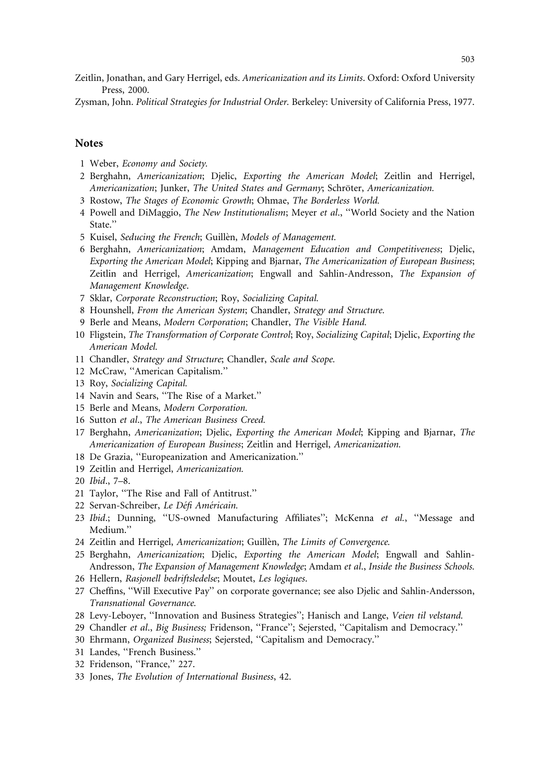Zeitlin, Jonathan, and Gary Herrigel, eds. Americanization and its Limits. Oxford: Oxford University Press, 2000.

Zysman, John. Political Strategies for Industrial Order. Berkeley: University of California Press, 1977.

#### **Notes**

- 1 Weber, Economy and Society.
- 2 Berghahn, Americanization; Djelic, Exporting the American Model; Zeitlin and Herrigel, Americanization; Junker, The United States and Germany; Schröter, Americanization.
- 3 Rostow, The Stages of Economic Growth; Ohmae, The Borderless World.
- 4 Powell and DiMaggio, The New Institutionalism; Meyer et al., "World Society and the Nation State.''
- 5 Kuisel, Seducing the French; Guillèn, Models of Management.
- 6 Berghahn, Americanization; Amdam, Management Education and Competitiveness; Djelic, Exporting the American Model; Kipping and Bjarnar, The Americanization of European Business; Zeitlin and Herrigel, Americanization; Engwall and Sahlin-Andresson, The Expansion of Management Knowledge.
- 7 Sklar, Corporate Reconstruction; Roy, Socializing Capital.
- 8 Hounshell, From the American System; Chandler, Strategy and Structure.
- 9 Berle and Means, Modern Corporation; Chandler, The Visible Hand.
- 10 Fligstein, The Transformation of Corporate Control; Roy, Socializing Capital; Djelic, Exporting the American Model.
- 11 Chandler, Strategy and Structure; Chandler, Scale and Scope.
- 12 McCraw, ''American Capitalism.''
- 13 Roy, Socializing Capital.
- 14 Navin and Sears, ''The Rise of a Market.''
- 15 Berle and Means, Modern Corporation.
- 16 Sutton et al., The American Business Creed.
- 17 Berghahn, Americanization; Djelic, Exporting the American Model; Kipping and Bjarnar, The Americanization of European Business; Zeitlin and Herrigel, Americanization.
- 18 De Grazia, ''Europeanization and Americanization.''
- 19 Zeitlin and Herrigel, Americanization.
- 20 Ibid., 7–8.
- 21 Taylor, ''The Rise and Fall of Antitrust.''
- 22 Servan-Schreiber, Le Défi Américain.
- 23 Ibid.; Dunning, ''US-owned Manufacturing Affiliates''; McKenna et al., ''Message and Medium.''
- 24 Zeitlin and Herrigel, Americanization; Guillèn, The Limits of Convergence.
- 25 Berghahn, Americanization; Djelic, Exporting the American Model; Engwall and Sahlin-Andresson, The Expansion of Management Knowledge; Amdam et al., Inside the Business Schools.
- 26 Hellern, Rasjonell bedriftsledelse; Moutet, Les logiques.
- 27 Cheffins, ''Will Executive Pay'' on corporate governance; see also Djelic and Sahlin-Andersson, Transnational Governance.
- 28 Levy-Leboyer, "Innovation and Business Strategies"; Hanisch and Lange, Veien til velstand.
- 29 Chandler et al., Big Business; Fridenson, "France"; Sejersted, "Capitalism and Democracy."
- 30 Ehrmann, Organized Business; Sejersted, ''Capitalism and Democracy.''
- 31 Landes, ''French Business.''
- 32 Fridenson, "France," 227.
- 33 Jones, The Evolution of International Business, 42.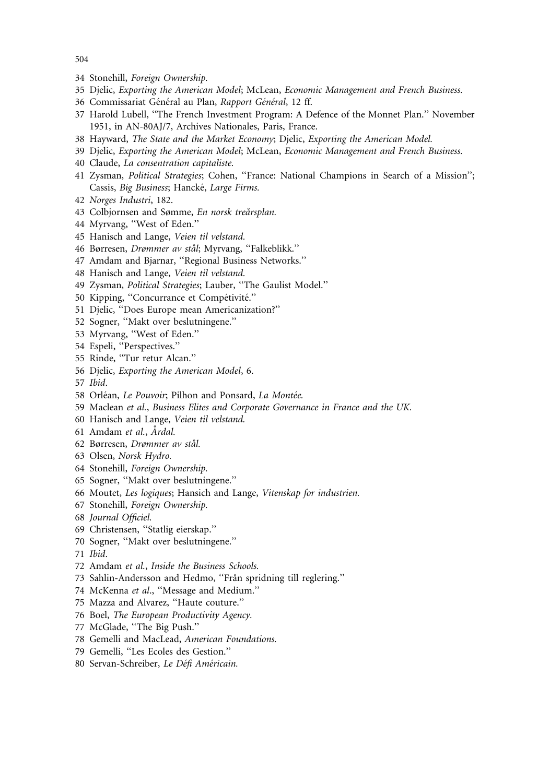- 504
- 34 Stonehill, Foreign Ownership.
- 35 Djelic, Exporting the American Model; McLean, Economic Management and French Business.
- 36 Commissariat Général au Plan, Rapport Général, 12 ff.
- 37 Harold Lubell, ''The French Investment Program: A Defence of the Monnet Plan.'' November 1951, in AN-80AJ/7, Archives Nationales, Paris, France.
- 38 Hayward, The State and the Market Economy; Djelic, Exporting the American Model.
- 39 Djelic, Exporting the American Model; McLean, Economic Management and French Business.
- 40 Claude, La consentration capitaliste.
- 41 Zysman, Political Strategies; Cohen, "France: National Champions in Search of a Mission"; Cassis, Big Business; Hancké, Large Firms.
- 42 Norges Industri, 182.
- 43 Colbjornsen and Sømme, En norsk treårsplan.
- 44 Myrvang, ''West of Eden.''
- 45 Hanisch and Lange, Veien til velstand.
- 46 Børresen, Drømmer av stål; Myrvang, "Falkeblikk."
- 47 Amdam and Bjarnar, ''Regional Business Networks.''
- 48 Hanisch and Lange, Veien til velstand.
- 49 Zysman, Political Strategies; Lauber, "The Gaulist Model."
- 50 Kipping, "Concurrance et Compétivité."
- 51 Djelic, ''Does Europe mean Americanization?''
- 52 Sogner, ''Makt over beslutningene.''
- 53 Myrvang, ''West of Eden.''
- 54 Espeli, ''Perspectives.''
- 55 Rinde, ''Tur retur Alcan.''
- 56 Djelic, Exporting the American Model, 6.
- 57 Ibid.
- 58 Orléan, Le Pouvoir; Pilhon and Ponsard, La Montée.
- 59 Maclean et al., Business Elites and Corporate Governance in France and the UK.
- 60 Hanisch and Lange, Veien til velstand.
- 61 Amdam et al., Årdal.
- 62 Børresen, Drømmer av stål.
- 63 Olsen, Norsk Hydro.
- 64 Stonehill, Foreign Ownership.
- 65 Sogner, ''Makt over beslutningene.''
- 66 Moutet, Les logiques; Hansich and Lange, Vitenskap for industrien.
- 67 Stonehill, Foreign Ownership.
- 68 Journal Officiel.
- 69 Christensen, ''Statlig eierskap.''
- 70 Sogner, ''Makt over beslutningene.''
- 71 Ibid.
- 72 Amdam et al., Inside the Business Schools.
- 73 Sahlin-Andersson and Hedmo, "Från spridning till reglering."
- 74 McKenna et al., "Message and Medium."
- 75 Mazza and Alvarez, ''Haute couture.''
- 76 Boel, The European Productivity Agency.
- 77 McGlade, ''The Big Push.''
- 78 Gemelli and MacLead, American Foundations.
- 79 Gemelli, ''Les Ecoles des Gestion.''
- 80 Servan-Schreiber, Le Défi Américain.